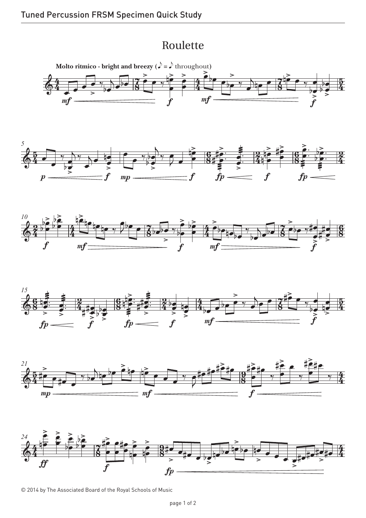## Roulette **Roulette**







<sup>© 2014</sup> by The Associated Board of the Royal Schools of Music